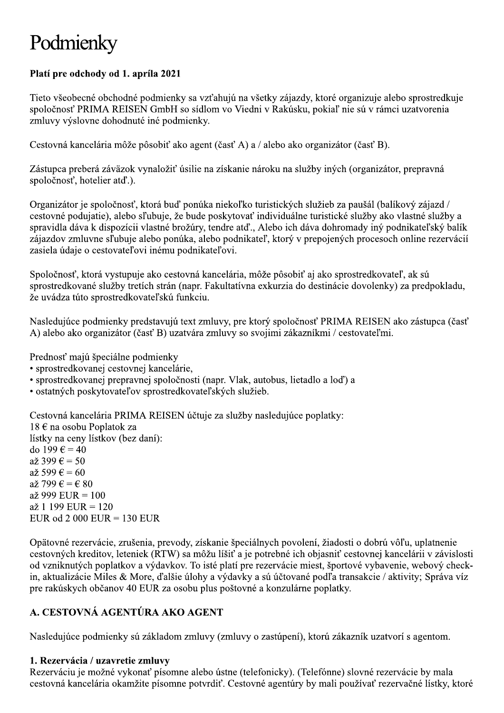# Podmienky

## Platí pre odchody od 1. apríla 2021

Tieto všeobecné obchodné podmienky sa vzťahujú na všetky zájazdy, ktoré organizuje alebo sprostredkuje spoločnosť PRIMA REISEN GmbH so sídlom vo Viedni v Rakúsku, pokiaľ nie sú v rámci uzatvorenia zmluvy výslovne dohodnuté iné podmienky.

Cestovná kancelária môže pôsobiť ako agent (časť A) a / alebo ako organizátor (časť B).

Zástupca preberá záväzok vynaložiť úsilie na získanie nároku na služby iných (organizátor, prepravná spoločnosť, hotelier atď.).

Organizátor je spoločnosť, ktorá buď ponúka niekoľko turistických služieb za paušál (balíkový zájazd / cestovné podujatie), alebo sľubuje, že bude poskytovať individuálne turistické služby ako vlastné služby a spravidla dáva k dispozícii vlastné brožúry, tendre atď., Alebo ich dáva dohromady iný podnikateľský balík zájazdov zmluvne sľubuje alebo ponúka, alebo podnikateľ, ktorý v prepojených procesoch online rezervácií zasiela údaje o cestovateľovi inému podnikateľovi.

Spoločnosť, ktorá vystupuje ako cestovná kancelária, môže pôsobiť aj ako sprostredkovateľ, ak sú sprostredkované služby tretích strán (napr. Fakultatívna exkurzia do destinácie dovolenky) za predpokladu, že uvádza túto sprostredkovateľskú funkciu.

Nasledujúce podmienky predstavujú text zmluvy, pre ktorý spoločnosť PRIMA REISEN ako zástupca (časť A) alebo ako organizátor (časť B) uzatvára zmluvy so svojimi zákazníkmi / cestovateľmi.

Prednosť majú špeciálne podmienky

- · sprostredkovanej cestovnej kancelárie.
- · sprostredkovanej prepravnej spoločnosti (napr. Vlak, autobus, lietadlo a loď) a
- · ostatných poskytovateľov sprostredkovateľských služieb.

Cestovná kancelária PRIMA REISEN účtuje za služby nasledujúce poplatky: 18 € na osobu Poplatok za lístky na ceny lístkov (bez daní): do 199 $\epsilon$  = 40  $a\check{z}$  399  $\hat{\epsilon} = 50$  $a\check{z}$  599  $\hat{\epsilon} = 60$ až 799  $\epsilon = \epsilon$  80  $a\check{z}$  999 EUR = 100  $a\check{z}$  1 199 EUR = 120 EUR od 2 000 EUR =  $130$  EUR

Opätovné rezervácie, zrušenia, prevody, získanie špeciálnych povolení, žiadosti o dobrú vôľu, uplatnenie cestovných kreditov, leteniek (RTW) sa môžu líšiť a je potrebné ich objasniť cestovnej kancelárii v závislosti od vzniknutých poplatkov a výdavkov. To isté platí pre rezervácie miest, športové vybavenie, webový checkin, aktualizácie Miles & More, ďalšie úlohy a výdavky a sú účtované podľa transakcie / aktivity; Správa víz pre rakúskych občanov 40 EUR za osobu plus poštovné a konzulárne poplatky.

# A. CESTOVNÁ AGENTÚRA AKO AGENT

Nasledujúce podmienky sú základom zmluvy (zmluvy o zastúpení), ktorú zákazník uzatvorí s agentom.

#### 1. Rezervácia / uzavretie zmluvy

Rezerváciu je možné vykonať písomne alebo ústne (telefonicky). (Telefónne) slovné rezervácie by mala cestovná kancelária okamžite písomne potvrdiť. Cestovné agentúry by mali používať rezervačné lístky, ktoré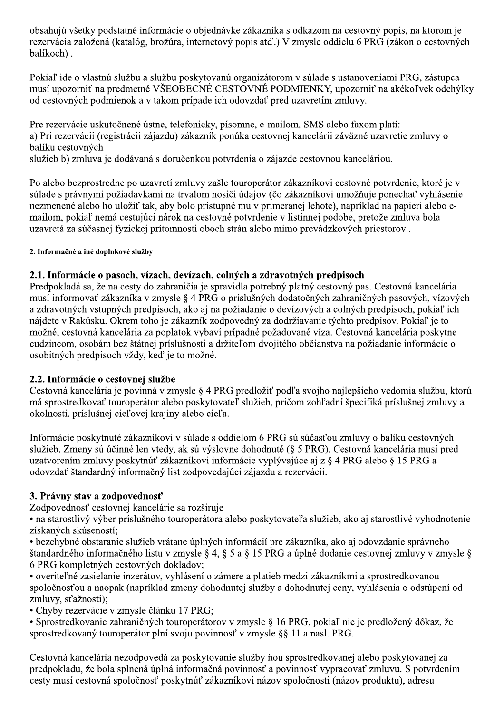obsahujú všetky podstatné informácie o objednávke zákazníka s odkazom na cestovný popis, na ktorom je rezervácia založená (katalóg, brožúra, internetový popis atď.) V zmysle oddielu 6 PRG (zákon o cestovných balíkoch).

Pokiaľ ide o vlastnú službu a službu poskytovanú organizátorom v súlade s ustanoveniami PRG, zástupca musí upozorniť na predmetné VŠEOBECNÉ CESTOVNÉ PODMIENKY, upozorniť na akékoľvek odchýlky od cestovných podmienok a v takom prípade ich odovzdať pred uzavretím zmluvy.

Pre rezervácie uskutočnené ústne, telefonicky, písomne, e-mailom, SMS alebo faxom platí: a) Pri rezervácii (registrácii zájazdu) zákazník ponúka cestovnej kancelárii záväzné uzavretie zmluvy o balíku cestovných

služieb b) zmluva je dodávaná s doručenkou potvrdenia o zájazde cestovnou kanceláriou.

Po alebo bezprostredne po uzavretí zmluvy zašle touroperátor zákazníkovi cestovné potvrdenie, ktoré je v súlade s právnymi požiadavkami na trvalom nosiči údajov (čo zákazníkovi umožňuje ponechať vyhlásenie nezmenené alebo ho uložiť tak, aby bolo prístupné mu v primeranej lehote), napríklad na papieri alebo emailom, pokiaľ nemá cestujúci nárok na cestovné potvrdenie v listinnej podobe, pretože zmluva bola uzavretá za súčasnej fyzickej prítomnosti oboch strán alebo mimo prevádzkových priestorov.

2. Informačné a iné doplnkové služby

#### 2.1. Informácie o pasoch, vízach, devízach, colných a zdravotných predpisoch

Predpokladá sa, že na cesty do zahraničia je spravidla potrebný platný cestovný pas. Cestovná kancelária musí informovať zákazníka v zmysle § 4 PRG o príslušných dodatočných zahraničných pasových, vízových a zdravotných vstupných predpisoch, ako aj na požiadanie o devízových a colných predpisoch, pokiaľ ich nájdete v Rakúsku. Okrem toho je zákazník zodpovedný za dodržiavanie týchto predpisov. Pokiaľ je to možné, cestovná kancelária za poplatok vybaví prípadné požadované víza. Cestovná kancelária poskytne cudzincom, osobám bez štátnej príslušnosti a držiteľom dvojitého občianstva na požiadanie informácie o osobitných predpisoch vždy, keď je to možné.

## 2.2. Informácie o cestovnej službe

Cestovná kancelária je povinná v zmysle § 4 PRG predložiť podľa svojho najlepšieho vedomia službu, ktorú má sprostredkovať touroperátor alebo poskytovateľ služieb, pričom zohľadní špecifiká príslušnej zmluvy a okolnosti, príslušnej cieľovej krajiny alebo cieľa.

Informácie poskytnuté zákazníkovi v súlade s oddielom 6 PRG sú súčasťou zmluvy o balíku cestovných služieb. Zmeny sú účinné len vtedy, ak sú výslovne dohodnuté (§ 5 PRG). Cestovná kancelária musí pred uzatvorením zmluvy poskytnúť zákazníkovi informácie vyplývajúce aj z § 4 PRG alebo § 15 PRG a odovzdať štandardný informačný list zodpovedajúci zájazdu a rezervácii.

## 3. Právny stav a zodpovednosť

Zodpovednosť cestovnej kancelárie sa rozširuje

• na starostlivý výber príslušného touroperátora alebo poskytovateľ a služieb, ako aj starostlivé vyhodnotenie získaných skúseností:

· bezchybné obstaranie služieb vrátane úplných informácií pre zákazníka, ako aj odovzdanie správneho štandardného informačného listu v zmysle § 4, § 5 a § 15 PRG a úplné dodanie cestovnej zmluvy v zmysle § 6 PRG kompletných cestovných dokladov;

· overiteľné zasielanie inzerátov, vyhlásení o zámere a platieb medzi zákazníkmi a sprostredkovanou spoločnosťou a naopak (napríklad zmeny dohodnutej služby a dohodnutej ceny, vyhlásenia o odstúpení od zmluvy, sťažnosti);

· Chyby rezervácie v zmysle článku 17 PRG:

• Sprostredkovanie zahraničných touroperátorov v zmysle § 16 PRG, pokiaľ nie je predložený dôkaz, že sprostredkovaný touroperátor plní svoju povinnosť v zmysle §§ 11 a nasl. PRG.

Cestovná kancelária nezodpovedá za poskytovanie služby ňou sprostredkovanej alebo poskytovanej za predpokladu, že bola splnená úplná informačná povinnosť a povinnosť vypracovať zmluvu. S potvrdením cesty musí cestovná spoločnosť poskytnúť zákazníkovi názov spoločnosti (názov produktu), adresu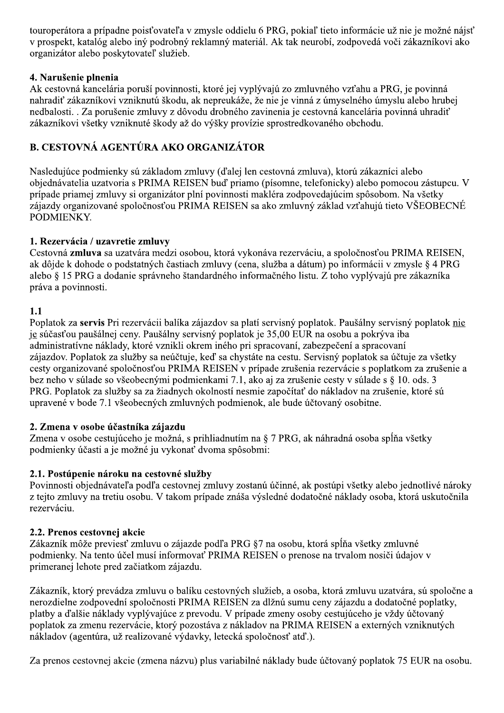touroperátora a prípadne poisťovateľa v zmysle oddielu 6 PRG, pokiaľ tieto informácie už nie je možné nájsť v prospekt, katalóg alebo iný podrobný reklamný materiál. Ak tak neurobí, zodpovedá voči zákazníkovi ako organizátor alebo poskytovateľ služieb.

#### 4. Narušenie plnenia

Ak cestovná kancelária poruší povinnosti, ktoré jej vyplývajú zo zmluvného vzťahu a PRG, je povinná nahradiť zákazníkovi vzniknutú škodu, ak nepreukáže, že nie je vinná z úmyselného úmyslu alebo hrubej nedbalosti. . Za porušenie zmluvy z dôvodu drobného zavinenia je cestovná kancelária povinná uhradiť zákazníkovi všetky vzniknuté škody až do výšky provízie sprostredkovaného obchodu.

# B. CESTOVNÁ AGENTÚRA AKO ORGANIZÁTOR

Nasledujúce podmienky sú základom zmluvy (ďalej len cestovná zmluva), ktorú zákazníci alebo objednávatelia uzatvoria s PRIMA REISEN buď priamo (písomne, telefonicky) alebo pomocou zástupcu. V prípade priamej zmluvy si organizátor plní povinnosti makléra zodpovedajúcim spôsobom. Na všetky zájazdy organizované spoločnosťou PRIMA REISEN sa ako zmluvný základ vzťahujú tieto VŠEOBECNÉ PODMIENKY.

#### 1. Rezervácia / uzavretie zmluvy

Cestovná zmluva sa uzatvára medzi osobou, ktorá vykonáva rezerváciu, a spoločnosťou PRIMA REISEN, ak dôjde k dohode o podstatných častiach zmluvy (cena, služba a dátum) po informácii v zmysle § 4 PRG alebo § 15 PRG a dodanie správneho štandardného informačného listu. Z toho vyplývajú pre zákazníka práva a povinnosti.

#### $1.1$

Poplatok za servis Pri rezervácii balíka zájazdov sa platí servisný poplatok. Paušálny servisný poplatok nie je súčasťou paušálnej ceny. Paušálny servisný poplatok je 35,00 EUR na osobu a pokrýva iba administratívne náklady, ktoré vznikli okrem iného pri spracovaní, zabezpečení a spracovaní zájazdov. Poplatok za služby sa neúčtuje, keď sa chystáte na cestu. Servisný poplatok sa účtuje za všetky cesty organizované spoločnosťou PRIMA REISEN v prípade zrušenia rezervácie s poplatkom za zrušenie a bez neho v súlade so všeobecnými podmienkami 7.1, ako aj za zrušenie cesty v súlade s § 10. ods. 3 PRG. Poplatok za služby sa za žiadnych okolností nesmie započítať do nákladov na zrušenie, ktoré sú upravené v bode 7.1 všeobecných zmluvných podmienok, ale bude účtovaný osobitne.

#### 2. Zmena v osobe účastníka zájazdu

Zmena v osobe cestujúceho je možná, s prihliadnutím na § 7 PRG, ak náhradná osoba spĺňa všetky podmienky účasti a je možné ju vykonať dvoma spôsobmi:

#### 2.1. Postúpenie nároku na cestovné služby

Povinnosti objednávateľa podľa cestovnej zmluvy zostanú účinné, ak postúpi všetky alebo jednotlivé nároky z tejto zmluvy na tretiu osobu. V takom prípade znáša výsledné dodatočné náklady osoba, ktorá uskutočnila rezerváciu.

#### 2.2. Prenos cestovnej akcie

Zákazník môže previesť zmluvu o zájazde podľa PRG 87 na osobu, ktorá spĺňa všetky zmluvné podmienky. Na tento účel musí informovať PRIMA REISEN o prenose na trvalom nosiči údajov v primeranej lehote pred začiatkom zájazdu.

Zákazník, ktorý prevádza zmluvu o balíku cestovných služieb, a osoba, ktorá zmluvu uzatvára, sú spoločne a nerozdielne zodpovední spoločnosti PRIMA REISEN za dlžnú sumu ceny zájazdu a dodatočné poplatky, platby a ďalšie náklady vyplývajúce z prevodu. V prípade zmeny osoby cestujúceho je vždy účtovaný poplatok za zmenu rezervácie, ktorý pozostáva z nákladov na PRIMA REISEN a externých vzniknutých nákladov (agentúra, už realizované výdavky, letecká spoločnosť atď.).

Za prenos cestovnej akcie (zmena názvu) plus variabilné náklady bude účtovaný poplatok 75 EUR na osobu.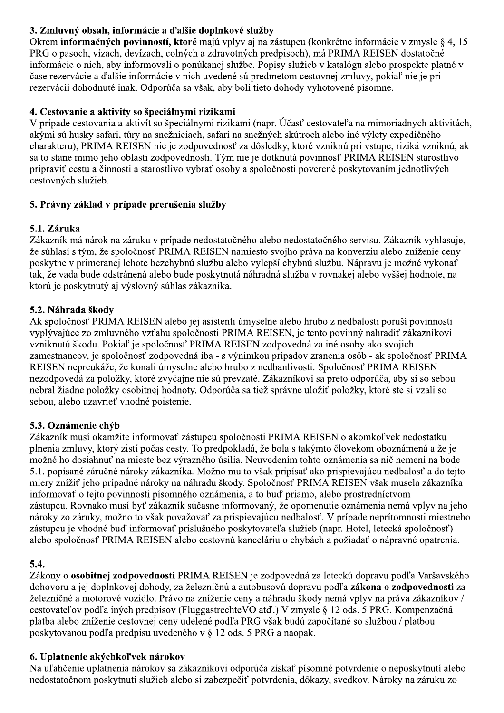# 3. Zmluvný obsah, informácie a ďalšie doplnkové služby

Okrem informačných povinností, ktoré majú vplyv aj na zástupcu (konkrétne informácie v zmysle § 4, 15 PRG o pasoch, vízach, devízach, colných a zdravotných predpisoch), má PRIMA REISEN dostatočné informácie o nich, aby informovali o ponúkanej službe. Popisy služieb v katalógu alebo prospekte platné v čase rezervácie a ďalšie informácie v nich uvedené sú predmetom cestovnej zmluvy, pokiaľ nie je pri rezervácii dohodnuté inak. Odporúča sa však, aby boli tieto dohody vyhotovené písomne.

## 4. Cestovanie a aktivity so špeciálnymi rizikami

V prípade cestovania a aktivít so špeciálnymi rizikami (napr. Účasť cestovateľa na mimoriadnych aktivitách, akými sú husky safari, túry na snežniciach, safari na snežných skútroch alebo iné výlety expedičného charakteru), PRIMA REISEN nie je zodpovednosť za dôsledky, ktoré vzniknú pri vstupe, riziká vzniknú, ak sa to stane mimo jeho oblasti zodpovednosti. Tým nie je dotknutá povinnosť PRIMA REISEN starostlivo pripraviť cestu a činnosti a starostlivo vybrať osoby a spoločnosti poverené poskytovaním jednotlivých cestovných služieb.

# 5. Právny základ v prípade prerušenia služby

# 5.1. Záruka

Zákazník má nárok na záruku v prípade nedostatočného alebo nedostatočného servisu. Zákazník vyhlasuje, že súhlasí s tým, že spoločnosť PRIMA REISEN namiesto svojho práva na konverziu alebo zníženie ceny poskytne v primeranej lehote bezchybnú službu alebo vylepší chybnú službu. Nápravu je možné vykonať tak, že vada bude odstránená alebo bude poskytnutá náhradná služba v rovnakej alebo vyššej hodnote, na ktorú je poskytnutý aj výslovný súhlas zákazníka.

# 5.2. Náhrada škody

Ak spoločnosť PRIMA REISEN alebo jej asistenti úmyselne alebo hrubo z nedbalosti poruší povinnosti vyplývajúce zo zmluvného vzťahu spoločnosti PRIMA REISEN, je tento povinný nahradiť zákazníkovi vzniknutú škodu. Pokiaľ je spoločnosť PRIMA REISEN zodpovedná za iné osoby ako svojich zamestnancov, je spoločnosť zodpovedná iba - s výnimkou prípadov zranenia osôb - ak spoločnosť PRIMA REISEN nepreukáže, že konali úmyselne alebo hrubo z nedbanlivosti. Spoločnosť PRIMA REISEN nezodpovedá za položky, ktoré zvyčajne nie sú prevzaté. Zákazníkovi sa preto odporúča, aby si so sebou nebral žiadne položky osobitnej hodnoty. Odporúča sa tiež správne uložiť položky, ktoré ste si vzali so sebou, alebo uzavrieť vhodné poistenie.

## 5.3. Oznámenie chýb

Zákazník musí okamžite informovať zástupcu spoločnosti PRIMA REISEN o akomkoľvek nedostatku plnenia zmluvy, ktorý zistí počas cesty. To predpokladá, že bola s takýmto človekom oboznámená a že je možné ho dosiahnuť na mieste bez výrazného úsilia. Neuvedením tohto oznámenia sa nič nemení na bode 5.1. popísané záručné nároky zákazníka. Možno mu to však pripísať ako prispievajúcu nedbalosť a do tejto miery znížiť jeho prípadné nároky na náhradu škody. Spoločnosť PRIMA REISEN však musela zákazníka informovať o tejto povinnosti písomného oznámenia, a to buď priamo, alebo prostredníctvom zástupcu. Rovnako musí byť zákazník súčasne informovaný, že opomenutie oznámenia nemá vplyv na jeho nároky zo záruky, možno to však považovať za prispievajúcu nedbalosť. V prípade neprítomnosti miestneho zástupcu je vhodné buď informovať príslušného poskytovateľa služieb (napr. Hotel, letecká spoločnosť) alebo spoločnosť PRIMA REISEN alebo cestovnú kanceláriu o chybách a požiadať o nápravné opatrenia.

## $5.4.$

Zákony o osobitnej zodpovednosti PRIMA REISEN je zodpovedná za leteckú dopravu podľa Varšavského dohovoru a jej doplnkovej dohody, za železničnú a autobusovú dopravu podľa zákona o zodpovednosti za železničné a motorové vozidlo. Právo na zníženie ceny a náhradu škody nemá vplyv na práva zákazníkov / cestovateľov podľa iných predpisov (FluggastrechteVO atď.) V zmysle § 12 ods. 5 PRG. Kompenzačná platba alebo zníženie cestovnej ceny udelené podľa PRG však budú započítané so službou / platbou poskytovanou podľa predpisu uvedeného v § 12 ods. 5 PRG a naopak.

## 6. Uplatnenie akýchkoľvek nárokov

Na uľahčenie uplatnenia nárokov sa zákazníkovi odporúča získať písomné potvrdenie o neposkytnutí alebo nedostatočnom poskytnutí služieb alebo si zabezpečiť potvrdenia, dôkazy, svedkov. Nároky na záruku zo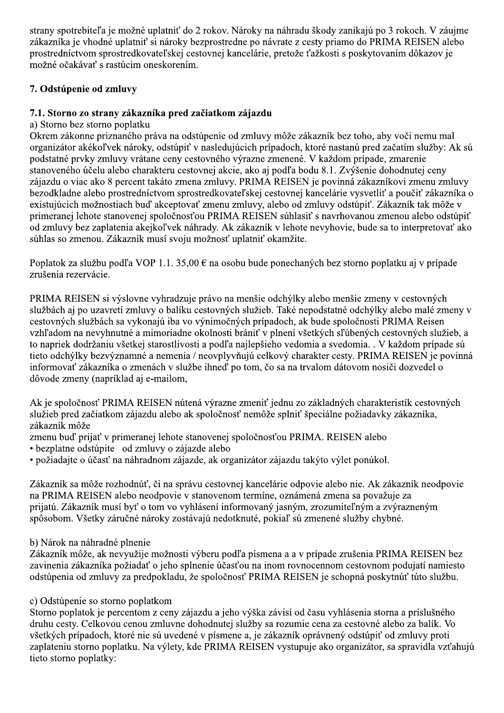strany spotrebiteľa je možné uplatniť do 2 rokov. Nároky na náhradu škody zanikajú po 3 rokoch. V záujme zákazníka je vhodné uplatniť si nároky bezprostredne po návrate z cesty priamo do PRIMA REISEN alebo prostredníctvom sprostredkovateľskej cestovnej kancelárie, pretože ťažkosti s poskytovaním dôkazov je možné očakávať s rastúcim oneskorením.

# 7. Odstúpenie od zmluvy

## 7.1. Storno zo strany zákazníka pred začiatkom zájazdu

a) Storno bez storno poplatku

Okrem zákonne priznaného práva na odstúpenie od zmluvy môže zákazník bez toho, aby voči nemu mal organizátor akékoľvek nároky, odstúpiť v nasledujúcich prípadoch, ktoré nastanú pred začatím služby: Ak sú podstatné prvky zmluvy vrátane ceny cestovného výrazne zmenené. V každom prípade, zmarenie stanoveného účelu alebo charakteru cestovnej akcie, ako aj podľa bodu 8.1. Zvýšenie dohodnutej ceny zájazdu o viac ako 8 percent takáto zmena zmluvy. PRIMA REISEN je povinná zákazníkovi zmenu zmluvy bezodkladne alebo prostredníctvom sprostredkovateľskej cestovnej kancelárie vysvetliť a poučiť zákazníka o existujúcich možnostiach buď akceptovať zmenu zmluvy, alebo od zmluvy odstúpiť. Zákazník tak môže v primeranej lehote stanovenej spoločnosťou PRIMA REISEN súhlasiť s navrhovanou zmenou alebo odstúpiť od zmluvy bez zaplatenia akejkoľvek náhrady. Ak zákazník v lehote nevyhovie, bude sa to interpretovať ako súhlas so zmenou. Zákazník musí svoju možnosť uplatniť okamžite.

Poplatok za službu podľa VOP 1.1. 35,00  $\epsilon$  na osobu bude ponechaných bez storno poplatku aj v prípade zrušenia rezervácie.

PRIMA REISEN si výslovne vyhradzuje právo na menšie odchýlky alebo menšie zmeny v cestovných službách aj po uzavretí zmluvy o balíku cestovných služieb. Také nepodstatné odchýlky alebo malé zmeny v cestovných službách sa vykonajú iba vo výnimočných prípadoch, ak bude spoločnosti PRIMA Reisen vzhľadom na nevyhnutné a mimoriadne okolnosti brániť v plnení všetkých sľúbených cestovných služieb, a to napriek dodržaniu všetkej starostlivosti a podľa najlepšieho vedomia a svedomia. . V každom prípade sú tieto odchýlky bezvýznamné a nemenia / neovplyvňujú celkový charakter cesty. PRIMA REISEN je povinná informovať zákazníka o zmenách v službe ihneď po tom, čo sa na trvalom dátovom nosiči dozvedel o dôvode zmeny (napríklad aj e-mailom,

Ak je spoločnosť PRIMA REISEN nútená výrazne zmeniť jednu zo základných charakteristík cestovných služieb pred začiatkom zájazdu alebo ak spoločnosť nemôže splniť špeciálne požiadavky zákazníka, zákazník môže

- zmenu buď prijať v primeranej lehote stanovenej spoločnosťou PRIMA. REISEN alebo
- · bezplatne odstúpite od zmluvy o zájazde alebo
- · požiadajte o účasť na náhradnom zájazde, ak organizátor zájazdu takýto výlet ponúkol.

Zákazník sa môže rozhodnúť, či na správu cestovnej kancelárie odpovie alebo nie. Ak zákazník neodpovie na PRIMA REISEN alebo neodpovie v stanovenom termíne, oznámená zmena sa považuje za prijatú. Zákazník musí byť o tom vo vyhlásení informovaný jasným, zrozumiteľným a zvýrazneným spôsobom. Všetky záručné nároky zostávajú nedotknuté, pokiaľ sú zmenené služby chybné.

## b) Nárok na náhradné plnenie

Zákazník môže, ak nevyužije možnosti výberu podľa písmena a a v prípade zrušenia PRIMA REISEN bez zavinenia zákazníka požiadať o jeho splnenie účasťou na inom rovnocennom cestovnom podujatí namiesto odstúpenia od zmluvy za predpokladu, že spoločnosť PRIMA REISEN je schopná poskytnúť túto službu.

## c) Odstúpenie so storno poplatkom

Storno poplatok je percentom z ceny zájazdu a jeho výška závisí od času vyhlásenia storna a príslušného druhu cesty. Celkovou cenou zmluvne dohodnutej služby sa rozumie cena za cestovné alebo za balík. Vo všetkých prípadoch, ktoré nie sú uvedené v písmene a, je zákazník oprávnený odstúpiť od zmluvy proti zaplateniu storno poplatku. Na výlety, kde PRIMA REISEN vystupuje ako organizátor, sa spravidla vzťahujú tieto storno poplatky: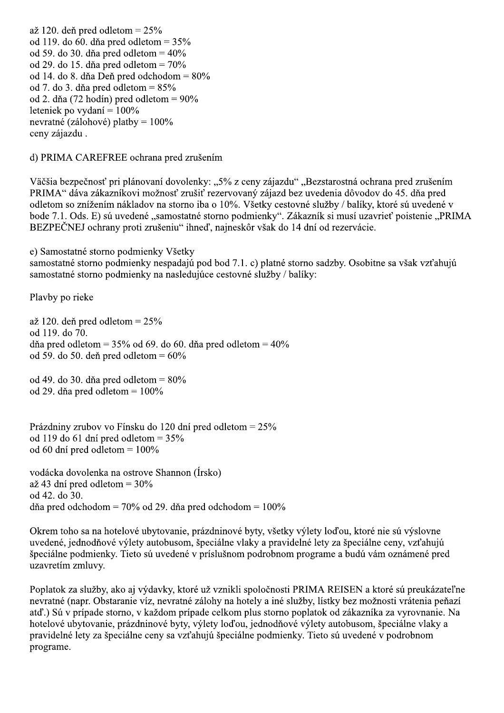až 120. deň pred odletom =  $25\%$ od 119. do 60. dňa pred odletom =  $35\%$ od 59. do 30. dňa pred odletom =  $40\%$ od 29. do 15. dňa pred odletom =  $70\%$ od 14. do 8. dňa Deň pred odchodom =  $80\%$ od 7. do 3. dňa pred odletom =  $85\%$ od 2. dňa (72 hodín) pred odletom =  $90\%$ leteniek po vydaní =  $100\%$ nevratné (zálohové) platby =  $100\%$ ceny zájazdu.

d) PRIMA CAREFREE ochrana pred zrušením

Väčšia bezpečnosť pri plánovaní dovolenky: "5% z ceny zájazdu" "Bezstarostná ochrana pred zrušením PRIMA" dáva zákazníkovi možnosť zrušiť rezervovaný zájazd bez uvedenia dôvodov do 45. dňa pred odletom so znížením nákladov na storno iba o 10%. Všetky cestovné služby / balíky, ktoré sú uvedené v bode 7.1. Ods. E) sú uvedené "samostatné storno podmienky". Zákazník si musí uzavrieť poistenie "PRIMA BEZPEČNEJ ochrany proti zrušeniu" ihneď, najneskôr však do 14 dní od rezervácie.

e) Samostatné storno podmienky Všetky

samostatné storno podmienky nespadajú pod bod 7.1. c) platné storno sadzby. Osobitne sa však vzťahujú samostatné storno podmienky na nasledujúce cestovné služby / balíky:

Plavby po rieke

až 120. deň pred odletom =  $25\%$ od 119. do 70. dňa pred odletom =  $35\%$  od 69. do 60. dňa pred odletom =  $40\%$ od 59. do 50. deň pred odletom =  $60\%$ 

od 49. do 30. dňa pred odletom =  $80\%$ od 29. dňa pred odletom =  $100\%$ 

Prázdniny zrubov vo Fínsku do 120 dní pred odletom = 25% od 119 do 61 dní pred odletom =  $35\%$ od 60 dní pred odletom =  $100\%$ 

vodácka dovolenka na ostrove Shannon (Írsko)  $a\ddot{z}$  43 dní pred odletom = 30% od 42. do 30. dňa pred odchodom =  $70\%$  od 29. dňa pred odchodom =  $100\%$ 

Okrem toho sa na hotelové ubytovanie, prázdninové byty, všetky výlety loďou, ktoré nie sú výslovne uvedené, jednodňové výlety autobusom, špeciálne vlaky a pravidelné lety za špeciálne ceny, vzťahujú špeciálne podmienky. Tieto sú uvedené v príslušnom podrobnom programe a budú vám oznámené pred uzavretím zmluvy.

Poplatok za služby, ako aj výdavky, ktoré už vznikli spoločnosti PRIMA REISEN a ktoré sú preukázateľne nevratné (napr. Obstaranie víz, nevratné zálohy na hotely a iné služby, lístky bez možnosti vrátenia peňazí atď.) Sú v prípade storno, v každom prípade celkom plus storno poplatok od zákazníka za vyrovnanie. Na hotelové ubytovanie, prázdninové byty, výlety loďou, jednodňové výlety autobusom, špeciálne vlaky a pravidelné lety za špeciálne ceny sa vzťahujú špeciálne podmienky. Tieto sú uvedené v podrobnom programe.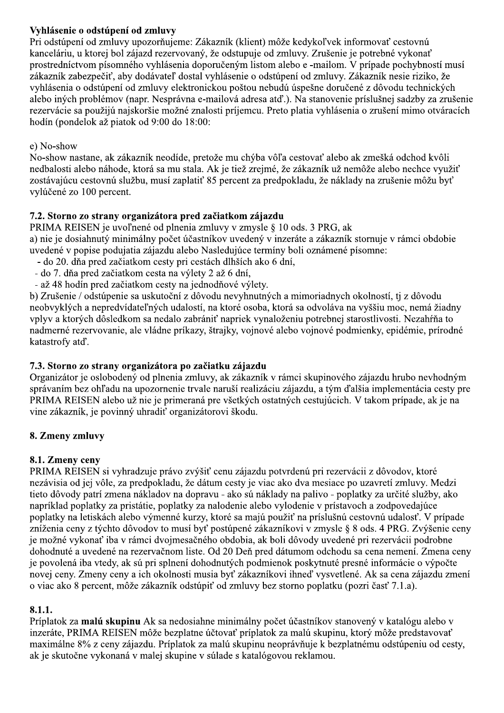## Vyhlásenie o odstúpení od zmluvy

Pri odstúpení od zmluvy upozorňujeme: Zákazník (klient) môže kedykoľvek informovať cestovnú kanceláriu, u ktorej bol zájazd rezervovaný, že odstupuje od zmluvy. Zrušenie je potrebné vykonať prostredníctvom písomného vyhlásenia doporučeným listom alebo e -mailom. V prípade pochybností musí zákazník zabezpečiť, aby dodávateľ dostal vyhlásenie o odstúpení od zmluvy. Zákazník nesie riziko. že vyhlásenia o odstúpení od zmluvy elektronickou poštou nebudú úspešne doručené z dôvodu technických alebo iných problémov (napr. Nesprávna e-mailová adresa atď.). Na stanovenie príslušnej sadzby za zrušenie rezervácie sa použijú najskoršie možné znalosti príjemcu. Preto platia vyhlásenia o zrušení mimo otváracích hodín (pondelok až piatok od 9:00 do 18:00:

#### e) No-show

No-show nastane, ak zákazník neodíde, pretože mu chýba vôľa cestovať alebo ak zmešká odchod kvôli nedbalosti alebo náhode, ktorá sa mu stala. Ak je tiež zrejmé, že zákazník už nemôže alebo nechce využiť zostávajúcu cestovnú službu, musí zaplatiť 85 percent za predpokladu, že náklady na zrušenie môžu byť vylúčené zo 100 percent.

## 7.2. Storno zo strany organizátora pred začiatkom zájazdu

PRIMA REISEN je uvoľnené od plnenia zmluvy v zmysle § 10 ods. 3 PRG, ak a) nie je dosiahnutý minimálny počet účastníkov uvedený v inzeráte a zákazník stornuje v rámci obdobie uvedené v popise podujatia zájazdu alebo Nasledujúce termíny boli oznámené písomne:

- do 20. dňa pred začiatkom cesty pri cestách dlhších ako 6 dní,
- do 7. dňa pred začiatkom cesta na výlety 2 až 6 dní,
- až 48 hodín pred začiatkom cesty na jednodňové výlety.

b) Zrušenie / odstúpenie sa uskutoční z dôvodu nevyhnutných a mimoriadnych okolností, tj z dôvodu neobvyklých a nepredvídateľných udalostí, na ktoré osoba, ktorá sa odvoláva na vyššiu moc, nemá žiadny vplyv a ktorých dôsledkom sa nedalo zabrániť napriek vynaloženiu potrebnej starostlivosti. Nezahŕňa to nadmerné rezervovanie, ale vládne príkazy, štrajky, vojnové alebo vojnové podmienky, epidémie, prírodné katastrofy atd'.

## 7.3. Storno zo strany organizátora po začiatku zájazdu

Organizátor je oslobodený od plnenia zmluvy, ak zákazník v rámci skupinového zájazdu hrubo nevhodným správaním bez ohľadu na upozornenie trvale naruší realizáciu zájazdu, a tým ďalšia implementácia cesty pre PRIMA REISEN alebo už nie je primeraná pre všetkých ostatných cestujúcich. V takom prípade, ak je na vine zákazník, je povinný uhradiť organizátorovi škodu.

## 8. Zmeny zmluvy

## 8.1. Zmeny ceny

PRIMA REISEN si vyhradzuje právo zvýšiť cenu zájazdu potvrdenú pri rezervácii z dôvodov, ktoré nezávisia od jej vôle, za predpokladu, že dátum cesty je viac ako dva mesiace po uzavretí zmluvy. Medzi tieto dôvody patrí zmena nákladov na dopravu - ako sú náklady na palivo - poplatky za určité služby, ako napríklad poplatky za pristátie, poplatky za nalodenie alebo vylodenie v prístavoch a zodpovedajúce poplatky na letiskách alebo výmenné kurzy, ktoré sa majú použiť na príslušnú cestovnú udalosť. V prípade zníženia ceny z týchto dôvodov to musí byť postúpené zákazníkovi v zmysle § 8 ods. 4 PRG. Zvýšenie ceny je možné vykonať iba v rámci dvojmesačného obdobia, ak boli dôvody uvedené pri rezervácii podrobne dohodnuté a uvedené na rezervačnom liste. Od 20 Deň pred dátumom odchodu sa cena nemení. Zmena ceny je povolená iba vtedy, ak sú pri splnení dohodnutých podmienok poskytnuté presné informácie o výpočte novej ceny. Zmeny ceny a ich okolnosti musia byť zákazníkovi ihneď vysvetlené. Ak sa cena zájazdu zmení o viac ako 8 percent, môže zákazník odstúpiť od zmluvy bez storno poplatku (pozri časť 7.1.a).

## 8.1.1.

Príplatok za malú skupinu Ak sa nedosiahne minimálny počet účastníkov stanovený v katalógu alebo v inzeráte, PRIMA REISEN môže bezplatne účtovať príplatok za malú skupinu, ktorý môže predstavovať maximálne 8% z ceny zájazdu. Príplatok za malú skupinu neoprávňuje k bezplatnému odstúpeniu od cesty, ak je skutočne vykonaná v malej skupine v súlade s katalógovou reklamou.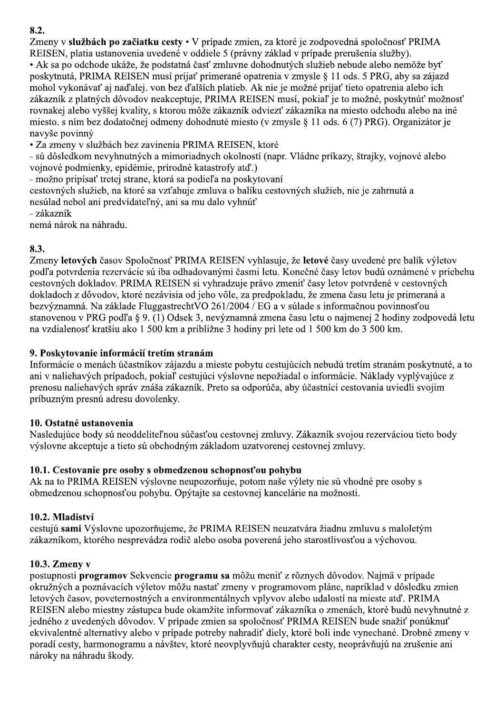# 8.2.

Zmeny v službách po začiatku cesty · V prípade zmien, za ktoré je zodpovedná spoločnosť PRIMA REISEN, platia ustanovenia uvedené v oddiele 5 (právny základ v prípade prerušenia služby).

• Ak sa po odchode ukáže, že podstatná časť zmluvne dohodnutých služieb nebude alebo nemôže byť poskytnutá, PRIMA REISEN musí prijať primerané opatrenia v zmysle § 11 ods. 5 PRG, aby sa zájazd mohol vykonávať aj naďalej. von bez ďalších platieb. Ak nie je možné prijať tieto opatrenia alebo ich zákazník z platných dôvodov neakceptuje, PRIMA REISEN musí, pokiaľ je to možné, poskytnúť možnosť rovnakej alebo vyššej kvality, s ktorou môže zákazník odviezť zákazníka na miesto odchodu alebo na iné miesto. s ním bez dodatočnej odmeny dohodnuté miesto (v zmysle § 11 ods. 6 (7) PRG). Organizátor je navyše povinný

• Za zmeny v službách bez zavinenia PRIMA REISEN, ktoré

- sú dôsledkom nevyhnutných a mimoriadnych okolností (napr. Vládne príkazy, štrajky, vojnové alebo vojnové podmienky, epidémie, prírodné katastrofy atď.)

- možno pripísať tretej strane, ktorá sa podieľa na poskytovaní

cestovných služieb, na ktoré sa vzťahuje zmluva o balíku cestovných služieb, nie je zahrnutá a nesúlad nebol ani predvídateľný, ani sa mu dalo vyhnúť

- zákazník

nemá nárok na náhradu.

## 8.3.

Zmeny letových časov Spoločnosť PRIMA REISEN vyhlasuje, že letové časy uvedené pre balík výletov podľa potvrdenia rezervácie sú iba odhadovanými časmi letu. Konečné časy letov budú oznámené v priebehu cestovných dokladov. PRIMA REISEN si vyhradzuje právo zmeniť časy letov potvrdené v cestovných dokladoch z dôvodov, ktoré nezávisia od jeho vôle, za predpokladu, že zmena času letu je primeraná a bezvýznamná. Na základe Fluggastrecht VO 261/2004 / EG a v súlade s informačnou povinnosťou stanovenou v PRG podľa § 9. (1) Odsek 3, nevýznamná zmena času letu o najmenej 2 hodiny zodpovedá letu na vzdialenosť kratšiu ako 1 500 km a približne 3 hodiny pri lete od 1 500 km do 3 500 km.

## 9. Poskytovanie informácií tretím stranám

Informácie o menách účastníkov zájazdu a mieste pobytu cestujúcich nebudú tretím stranám poskytnuté, a to ani v naliehavých prípadoch, pokiaľ cestujúci výslovne nepožiadal o informácie. Náklady vyplývajúce z prenosu naliehavých správ znáša zákazník. Preto sa odporúča, aby účastníci cestovania uviedli svojim príbuzným presnú adresu dovolenky.

## 10. Ostatné ustanovenia

Nasledujúce body sú neoddeliteľnou súčasťou cestovnej zmluvy. Zákazník svojou rezerváciou tieto body výslovne akceptuje a tieto sú obchodným základom uzatvorenej cestovnej zmluvy.

## 10.1. Cestovanie pre osoby s obmedzenou schopnosťou pohybu

Ak na to PRIMA REISEN výslovne neupozorňuje, potom naše výlety nie sú vhodné pre osoby s obmedzenou schopnosťou pohybu. Opýtajte sa cestovnej kancelárie na možnosti.

## 10.2. Mladiství

cestujú sami Výslovne upozorňujeme, že PRIMA REISEN neuzatvára žiadnu zmluvu s maloletým zákazníkom, ktorého nesprevádza rodič alebo osoba poverená jeho starostlivosťou a výchovou.

## 10.3. Zmeny v

postupnosti programov Sekvencie programu sa môžu meniť z rôznych dôvodov. Najmä v prípade okružných a poznávacích výletov môžu nastať zmeny v programovom pláne, napríklad v dôsledku zmien letových časov, poveternostných a environmentálnych vplyvov alebo udalostí na mieste atď. PRIMA REISEN alebo miestny zástupca bude okamžite informovať zákazníka o zmenách, ktoré budú nevyhnutné z jedného z uvedených dôvodov. V prípade zmien sa spoločnosť PRIMA REISEN bude snažiť ponúknuť ekvivalentné alternatívy alebo v prípade potreby nahradiť diely, ktoré boli inde vynechané. Drobné zmeny v poradí cesty, harmonogramu a návštey, ktoré neovplyvňujú charakter cesty, neoprávňujú na zrušenie ani nároky na náhradu škody.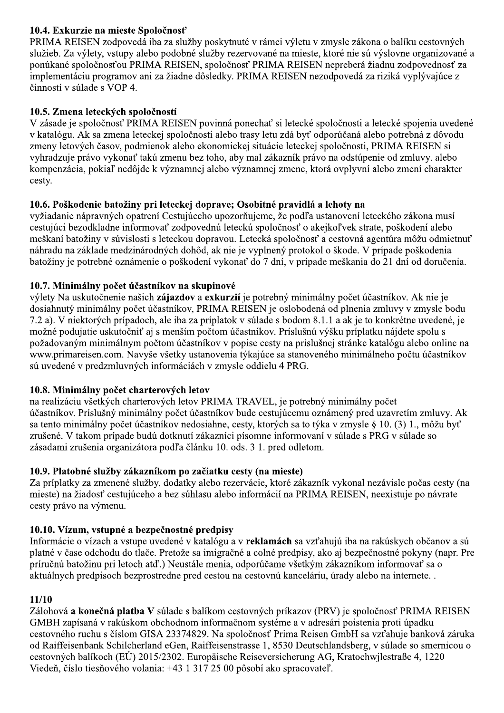## 10.4. Exkurzie na mieste Spoločnosť

PRIMA REISEN zodpovedá iba za služby poskytnuté v rámci výletu v zmysle zákona o balíku cestovných služieb. Za výlety, vstupy alebo podobné služby rezervované na mieste, ktoré nie sú výslovne organizované a ponúkané spoločnosťou PRIMA REISEN, spoločnosť PRIMA REISEN nepreberá žiadnu zodpovednosť za implementáciu programov ani za žiadne dôsledky. PRIMA REISEN nezodpovedá za riziká vyplývajúce z činností v súlade s VOP 4.

## 10.5. Zmena leteckých spoločností

V zásade je spoločnosť PRIMA REISEN povinná ponechať si letecké spoločnosti a letecké spojenia uvedené v katalógu. Ak sa zmena leteckej spoločnosti alebo trasy letu zdá byť odporúčaná alebo potrebná z dôvodu zmeny letových časov, podmienok alebo ekonomickej situácie leteckej spoločnosti, PRIMA REISEN si vyhradzuje právo vykonať takú zmenu bez toho, aby mal zákazník právo na odstúpenie od zmluvy. alebo kompenzácia, pokiaľ nedôjde k významnej alebo významnej zmene, ktorá ovplyvní alebo zmení charakter cesty.

#### 10.6. Poškodenie batožiny pri leteckej doprave; Osobitné pravidlá a lehoty na

vyžiadanie nápravných opatrení Cestujúceho upozorňujeme, že podľa ustanovení leteckého zákona musí cestujúci bezodkladne informovať zodpovednú leteckú spoločnosť o akejkoľvek strate, poškodení alebo meškaní batožiny v súvislosti s leteckou dopravou. Letecká spoločnosť a cestovná agentúra môžu odmietnuť náhradu na základe medzinárodných dohôd, ak nie je vyplnený protokol o škode. V prípade poškodenia batožiny je potrebné oznámenie o poškodení vykonať do 7 dní, v prípade meškania do 21 dní od doručenia.

#### 10.7. Minimálny počet účastníkov na skupinové

výlety Na uskutočnenie našich zájazdov a exkurzií je potrebný minimálny počet účastníkov. Ak nie je dosiahnutý minimálny počet účastníkov, PRIMA REISEN je oslobodená od plnenia zmluvy v zmysle bodu 7.2 a). V niektorých prípadoch, ale iba za príplatok v súlade s bodom 8.1.1 a ak je to konkrétne uvedené, je možné podujatie uskutočniť aj s menším počtom účastníkov. Príslušnú výšku príplatku nájdete spolu s požadovaným minimálnym počtom účastníkov v popise cesty na príslušnej stránke katalógu alebo online na www.primareisen.com. Navyše všetky ustanovenia týkajúce sa stanoveného minimálneho počtu účastníkov sú uvedené v predzmluvných informáciách v zmysle oddielu 4 PRG.

## 10.8. Minimálny počet charterových letov

na realizáciu všetkých charterových letov PRIMA TRAVEL, je potrebný minimálny počet účastníkov. Príslušný minimálny počet účastníkov bude cestujúcemu oznámený pred uzavretím zmluvy. Ak sa tento minimálny počet účastníkov nedosiahne, cesty, ktorých sa to týka v zmysle § 10. (3) 1., môžu byť zrušené. V takom prípade budú dotknutí zákazníci písomne informovaní v súlade s PRG v súlade so zásadami zrušenia organizátora podľa článku 10. ods. 3 1. pred odletom.

#### 10.9. Platobné služby zákazníkom po začiatku cesty (na mieste)

Za príplatky za zmenené služby, dodatky alebo rezervácie, ktoré zákazník vykonal nezávisle počas cesty (na mieste) na žiadosť cestujúceho a bez súhlasu alebo informácií na PRIMA REISEN, neexistuje po návrate cesty právo na výmenu.

## 10.10. Vízum, vstupné a bezpečnostné predpisy

Informácie o vízach a vstupe uvedené v katalógu a v reklamách sa vzťahujú iba na rakúskych občanov a sú platné v čase odchodu do tlače. Pretože sa imigračné a colné predpisy, ako aj bezpečnostné pokyny (napr. Pre príručnú batožinu pri letoch atď.) Neustále menia, odporúčame všetkým zákazníkom informovať sa o aktuálnych predpisoch bezprostredne pred cestou na cestovnú kanceláriu, úrady alebo na internete...

#### $11/10$

Zálohová a konečná platba V súlade s balíkom cestovných príkazov (PRV) je spoločnosť PRIMA REISEN GMBH zapísaná v rakúskom obchodnom informačnom systéme a v adresári poistenia proti úpadku cestovného ruchu s číslom GISA 23374829. Na spoločnosť Prima Reisen GmbH sa vzťahuje banková záruka od Raiffeisenbank Schilcherland eGen, Raiffeisenstrasse 1, 8530 Deutschlandsberg, v súlade so smernicou o cestovných balíkoch (EÚ) 2015/2302. Europäische Reiseversicherung AG, Kratochwilestraße 4, 1220 Viedeň, číslo tiesňového volania: +43 1 317 25 00 pôsobí ako spracovateľ.